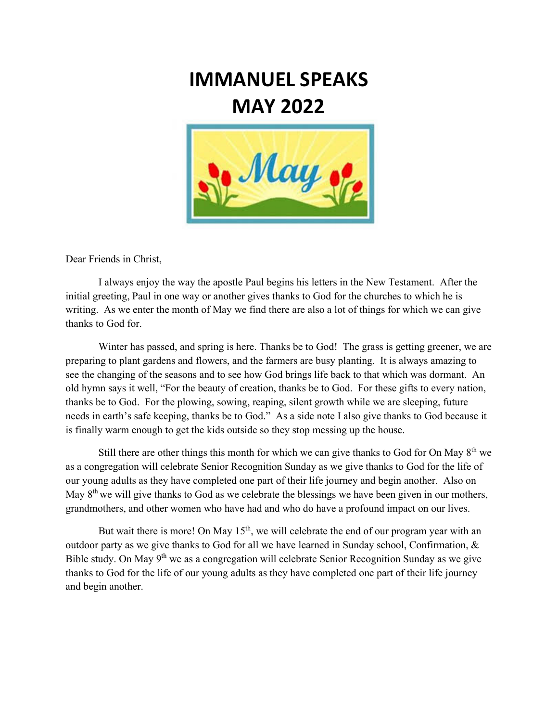## **IMMANUEL SPEAKS MAY 2022**



Dear Friends in Christ,

 I always enjoy the way the apostle Paul begins his letters in the New Testament. After the initial greeting, Paul in one way or another gives thanks to God for the churches to which he is writing. As we enter the month of May we find there are also a lot of things for which we can give thanks to God for.

Winter has passed, and spring is here. Thanks be to God! The grass is getting greener, we are preparing to plant gardens and flowers, and the farmers are busy planting. It is always amazing to see the changing of the seasons and to see how God brings life back to that which was dormant. An old hymn says it well, "For the beauty of creation, thanks be to God. For these gifts to every nation, thanks be to God. For the plowing, sowing, reaping, silent growth while we are sleeping, future needs in earth's safe keeping, thanks be to God." As a side note I also give thanks to God because it is finally warm enough to get the kids outside so they stop messing up the house.

Still there are other things this month for which we can give thanks to God for On May  $8<sup>th</sup>$  we as a congregation will celebrate Senior Recognition Sunday as we give thanks to God for the life of our young adults as they have completed one part of their life journey and begin another. Also on May  $8<sup>th</sup>$  we will give thanks to God as we celebrate the blessings we have been given in our mothers, grandmothers, and other women who have had and who do have a profound impact on our lives.

But wait there is more! On May  $15<sup>th</sup>$ , we will celebrate the end of our program year with an outdoor party as we give thanks to God for all we have learned in Sunday school, Confirmation, & Bible study. On May 9<sup>th</sup> we as a congregation will celebrate Senior Recognition Sunday as we give thanks to God for the life of our young adults as they have completed one part of their life journey and begin another.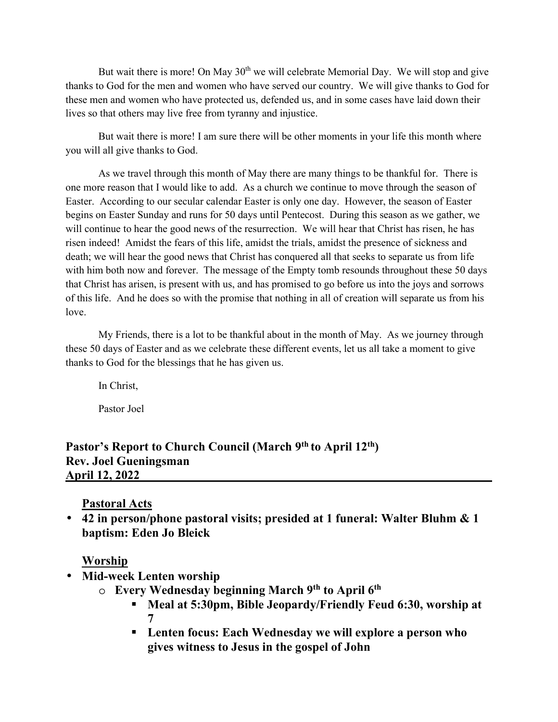But wait there is more! On May  $30<sup>th</sup>$  we will celebrate Memorial Day. We will stop and give thanks to God for the men and women who have served our country. We will give thanks to God for these men and women who have protected us, defended us, and in some cases have laid down their lives so that others may live free from tyranny and injustice.

 But wait there is more! I am sure there will be other moments in your life this month where you will all give thanks to God.

 As we travel through this month of May there are many things to be thankful for. There is one more reason that I would like to add. As a church we continue to move through the season of Easter. According to our secular calendar Easter is only one day. However, the season of Easter begins on Easter Sunday and runs for 50 days until Pentecost. During this season as we gather, we will continue to hear the good news of the resurrection. We will hear that Christ has risen, he has risen indeed! Amidst the fears of this life, amidst the trials, amidst the presence of sickness and death; we will hear the good news that Christ has conquered all that seeks to separate us from life with him both now and forever. The message of the Empty tomb resounds throughout these 50 days that Christ has arisen, is present with us, and has promised to go before us into the joys and sorrows of this life. And he does so with the promise that nothing in all of creation will separate us from his love.

My Friends, there is a lot to be thankful about in the month of May. As we journey through these 50 days of Easter and as we celebrate these different events, let us all take a moment to give thanks to God for the blessings that he has given us.

In Christ,

Pastor Joel

**Pastor's Report to Church Council (March 9th to April 12th) Rev. Joel Gueningsman April 12, 2022** 

## **Pastoral Acts**

• **42 in person/phone pastoral visits; presided at 1 funeral: Walter Bluhm & 1 baptism: Eden Jo Bleick**

### **Worship**

- **Mid-week Lenten worship** 
	- o **Every Wednesday beginning March 9th to April 6th** 
		- **Meal at 5:30pm, Bible Jeopardy/Friendly Feud 6:30, worship at 7**
		- **Lenten focus: Each Wednesday we will explore a person who gives witness to Jesus in the gospel of John**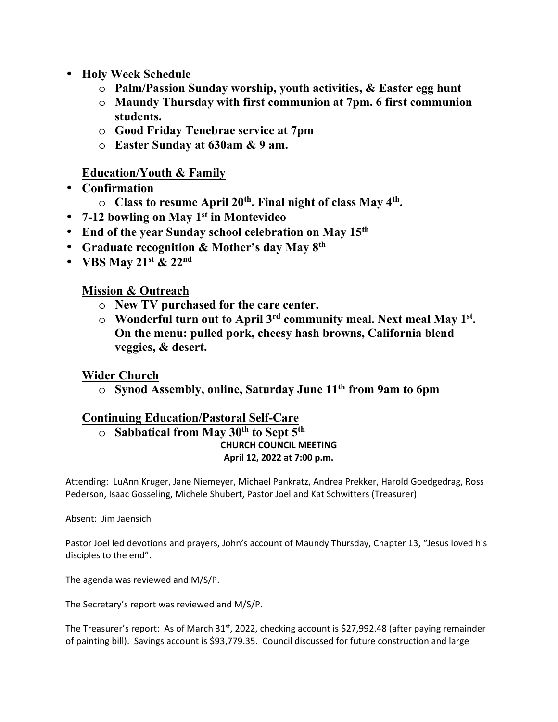- **Holy Week Schedule** 
	- o **Palm/Passion Sunday worship, youth activities, & Easter egg hunt**
	- o **Maundy Thursday with first communion at 7pm. 6 first communion students.**
	- o **Good Friday Tenebrae service at 7pm**
	- o **Easter Sunday at 630am & 9 am.**

### **Education/Youth & Family**

- **Confirmation** 
	- o **Class to resume April 20th. Final night of class May 4th .**
- **7-12 bowling on May 1st in Montevideo**
- **End of the year Sunday school celebration on May 15th**
- **Graduate recognition & Mother's day May 8th**
- **VBS May 21st & 22nd**

## **Mission & Outreach**

- o **New TV purchased for the care center.**
- o **Wonderful turn out to April 3rd community meal. Next meal May 1st . On the menu: pulled pork, cheesy hash browns, California blend veggies, & desert.**

## **Wider Church**

o **Synod Assembly, online, Saturday June 11th from 9am to 6pm** 

## **Continuing Education/Pastoral Self-Care**

o **Sabbatical from May 30th to Sept 5th CHURCH COUNCIL MEETING April 12, 2022 at 7:00 p.m.** 

Attending: LuAnn Kruger, Jane Niemeyer, Michael Pankratz, Andrea Prekker, Harold Goedgedrag, Ross Pederson, Isaac Gosseling, Michele Shubert, Pastor Joel and Kat Schwitters (Treasurer)

Absent: Jim Jaensich

Pastor Joel led devotions and prayers, John's account of Maundy Thursday, Chapter 13, "Jesus loved his disciples to the end".

The agenda was reviewed and M/S/P.

The Secretary's report was reviewed and M/S/P.

The Treasurer's report: As of March  $31<sup>st</sup>$ , 2022, checking account is \$27,992.48 (after paying remainder of painting bill). Savings account is \$93,779.35. Council discussed for future construction and large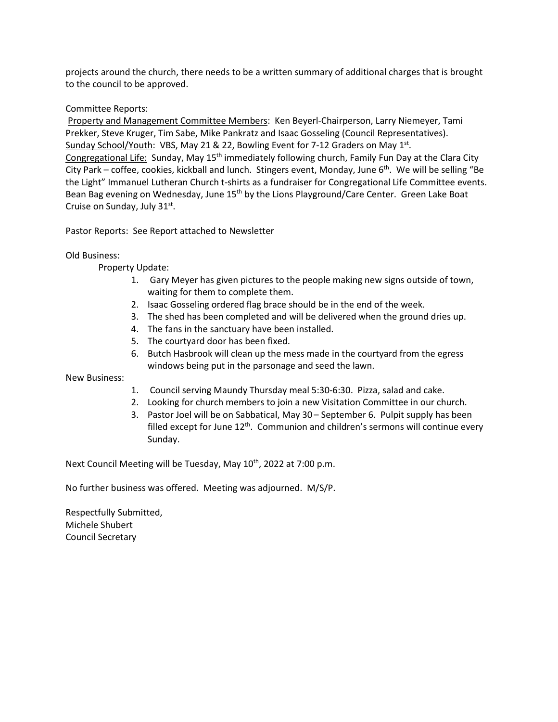projects around the church, there needs to be a written summary of additional charges that is brought to the council to be approved.

#### Committee Reports:

 Property and Management Committee Members: Ken Beyerl-Chairperson, Larry Niemeyer, Tami Prekker, Steve Kruger, Tim Sabe, Mike Pankratz and Isaac Gosseling (Council Representatives). Sunday School/Youth: VBS, May 21 & 22, Bowling Event for 7-12 Graders on May 1st. Congregational Life: Sunday, May 15th immediately following church, Family Fun Day at the Clara City City Park – coffee, cookies, kickball and lunch. Stingers event, Monday, June 6<sup>th</sup>. We will be selling "Be the Light" Immanuel Lutheran Church t-shirts as a fundraiser for Congregational Life Committee events. Bean Bag evening on Wednesday, June 15<sup>th</sup> by the Lions Playground/Care Center. Green Lake Boat Cruise on Sunday, July 31st.

Pastor Reports: See Report attached to Newsletter

#### Old Business:

Property Update:

- 1. Gary Meyer has given pictures to the people making new signs outside of town, waiting for them to complete them.
- 2. Isaac Gosseling ordered flag brace should be in the end of the week.
- 3. The shed has been completed and will be delivered when the ground dries up.
- 4. The fans in the sanctuary have been installed.
- 5. The courtyard door has been fixed.
- 6. Butch Hasbrook will clean up the mess made in the courtyard from the egress windows being put in the parsonage and seed the lawn.

New Business:

- 1. Council serving Maundy Thursday meal 5:30-6:30. Pizza, salad and cake.
- 2. Looking for church members to join a new Visitation Committee in our church.
- 3. Pastor Joel will be on Sabbatical, May 30 September 6. Pulpit supply has been filled except for June  $12<sup>th</sup>$ . Communion and children's sermons will continue every Sunday.

Next Council Meeting will be Tuesday, May 10<sup>th</sup>, 2022 at 7:00 p.m.

No further business was offered. Meeting was adjourned. M/S/P.

Respectfully Submitted, Michele Shubert Council Secretary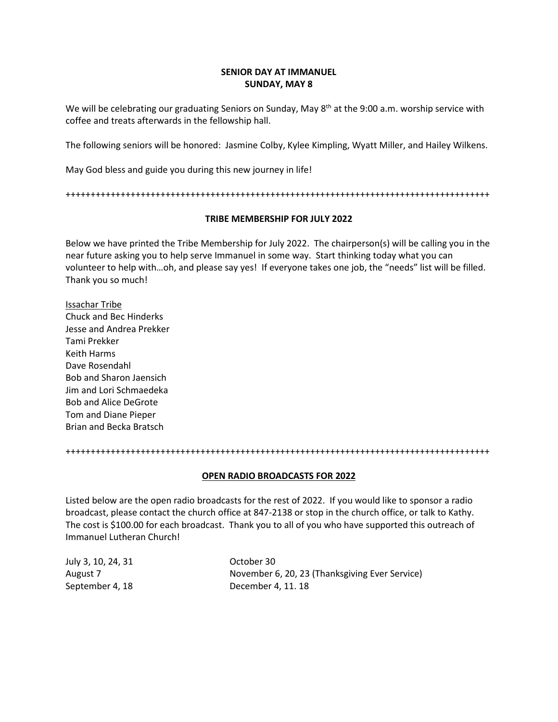#### **SENIOR DAY AT IMMANUEL SUNDAY, MAY 8**

We will be celebrating our graduating Seniors on Sunday, May 8<sup>th</sup> at the 9:00 a.m. worship service with coffee and treats afterwards in the fellowship hall.

The following seniors will be honored: Jasmine Colby, Kylee Kimpling, Wyatt Miller, and Hailey Wilkens.

May God bless and guide you during this new journey in life!

+++++++++++++++++++++++++++++++++++++++++++++++++++++++++++++++++++++++++++++++++++++

#### **TRIBE MEMBERSHIP FOR JULY 2022**

Below we have printed the Tribe Membership for July 2022. The chairperson(s) will be calling you in the near future asking you to help serve Immanuel in some way. Start thinking today what you can volunteer to help with…oh, and please say yes! If everyone takes one job, the "needs" list will be filled. Thank you so much!

Issachar Tribe Chuck and Bec Hinderks Jesse and Andrea Prekker Tami Prekker Keith Harms Dave Rosendahl Bob and Sharon Jaensich Jim and Lori Schmaedeka Bob and Alice DeGrote Tom and Diane Pieper Brian and Becka Bratsch

+++++++++++++++++++++++++++++++++++++++++++++++++++++++++++++++++++++++++++++++++++++

#### **OPEN RADIO BROADCASTS FOR 2022**

Listed below are the open radio broadcasts for the rest of 2022. If you would like to sponsor a radio broadcast, please contact the church office at 847-2138 or stop in the church office, or talk to Kathy. The cost is \$100.00 for each broadcast. Thank you to all of you who have supported this outreach of Immanuel Lutheran Church!

| July 3, 10, 24, 31 | October 30                                     |
|--------------------|------------------------------------------------|
| August 7           | November 6, 20, 23 (Thanksgiving Ever Service) |
| September 4, 18    | December 4, 11, 18                             |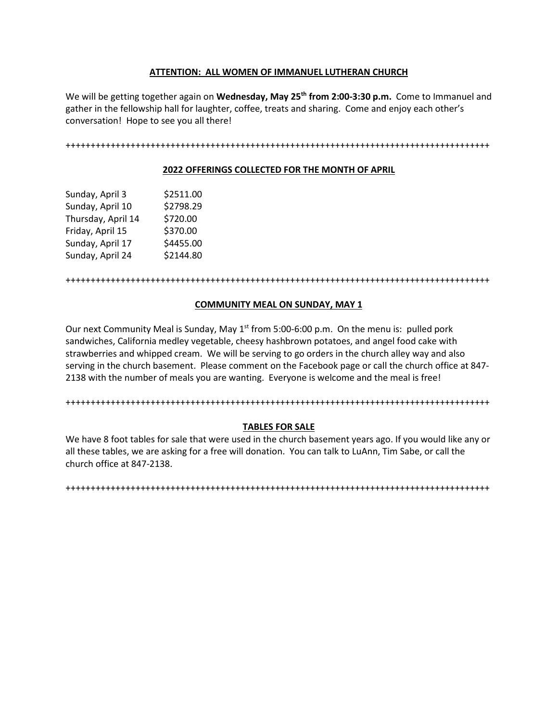#### **ATTENTION: ALL WOMEN OF IMMANUEL LUTHERAN CHURCH**

We will be getting together again on **Wednesday, May 25th from 2:00-3:30 p.m.** Come to Immanuel and gather in the fellowship hall for laughter, coffee, treats and sharing. Come and enjoy each other's conversation! Hope to see you all there!

+++++++++++++++++++++++++++++++++++++++++++++++++++++++++++++++++++++++++++++++++++++

#### **2022 OFFERINGS COLLECTED FOR THE MONTH OF APRIL**

| Sunday, April 3    | \$2511.00 |
|--------------------|-----------|
| Sunday, April 10   | \$2798.29 |
| Thursday, April 14 | \$720.00  |
| Friday, April 15   | \$370.00  |
| Sunday, April 17   | \$4455.00 |
| Sunday, April 24   | \$2144.80 |

+++++++++++++++++++++++++++++++++++++++++++++++++++++++++++++++++++++++++++++++++++++

#### **COMMUNITY MEAL ON SUNDAY, MAY 1**

Our next Community Meal is Sunday, May 1<sup>st</sup> from 5:00-6:00 p.m. On the menu is: pulled pork sandwiches, California medley vegetable, cheesy hashbrown potatoes, and angel food cake with strawberries and whipped cream. We will be serving to go orders in the church alley way and also serving in the church basement. Please comment on the Facebook page or call the church office at 847- 2138 with the number of meals you are wanting. Everyone is welcome and the meal is free!

+++++++++++++++++++++++++++++++++++++++++++++++++++++++++++++++++++++++++++++++++++++

#### **TABLES FOR SALE**

We have 8 foot tables for sale that were used in the church basement years ago. If you would like any or all these tables, we are asking for a free will donation. You can talk to LuAnn, Tim Sabe, or call the church office at 847-2138.

+++++++++++++++++++++++++++++++++++++++++++++++++++++++++++++++++++++++++++++++++++++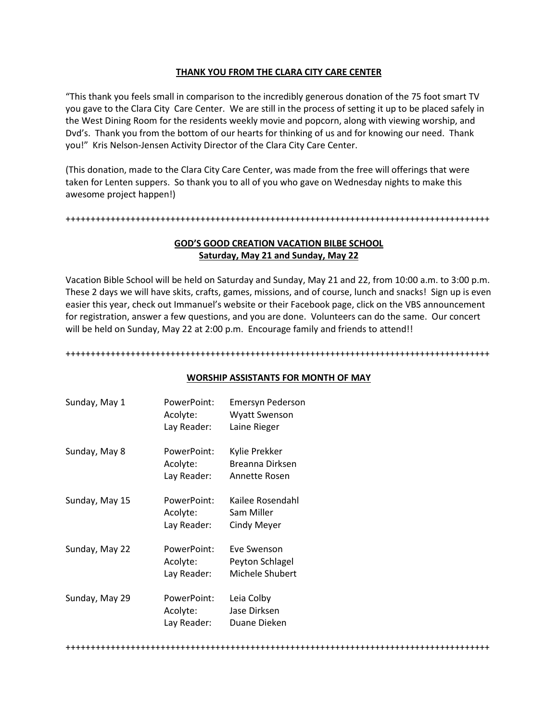#### **THANK YOU FROM THE CLARA CITY CARE CENTER**

"This thank you feels small in comparison to the incredibly generous donation of the 75 foot smart TV you gave to the Clara City Care Center. We are still in the process of setting it up to be placed safely in the West Dining Room for the residents weekly movie and popcorn, along with viewing worship, and Dvd's. Thank you from the bottom of our hearts for thinking of us and for knowing our need. Thank you!" Kris Nelson-Jensen Activity Director of the Clara City Care Center.

(This donation, made to the Clara City Care Center, was made from the free will offerings that were taken for Lenten suppers. So thank you to all of you who gave on Wednesday nights to make this awesome project happen!)

+++++++++++++++++++++++++++++++++++++++++++++++++++++++++++++++++++++++++++++++++++++

#### **GOD'S GOOD CREATION VACATION BILBE SCHOOL Saturday, May 21 and Sunday, May 22**

Vacation Bible School will be held on Saturday and Sunday, May 21 and 22, from 10:00 a.m. to 3:00 p.m. These 2 days we will have skits, crafts, games, missions, and of course, lunch and snacks! Sign up is even easier this year, check out Immanuel's website or their Facebook page, click on the VBS announcement for registration, answer a few questions, and you are done. Volunteers can do the same. Our concert will be held on Sunday, May 22 at 2:00 p.m. Encourage family and friends to attend!!

+++++++++++++++++++++++++++++++++++++++++++++++++++++++++++++++++++++++++++++++++++++

#### **WORSHIP ASSISTANTS FOR MONTH OF MAY**

| Sunday, May 1  | PowerPoint:<br>Acolyte:<br>Lay Reader: | Emersyn Pederson<br><b>Wyatt Swenson</b><br>Laine Rieger |
|----------------|----------------------------------------|----------------------------------------------------------|
| Sunday, May 8  | PowerPoint:<br>Acolyte:<br>Lay Reader: | Kylie Prekker<br>Breanna Dirksen<br>Annette Rosen        |
| Sunday, May 15 | PowerPoint:<br>Acolyte:<br>Lay Reader: | Kailee Rosendahl<br>Sam Miller<br>Cindy Meyer            |
| Sunday, May 22 | PowerPoint:<br>Acolyte:<br>Lay Reader: | Eve Swenson<br>Peyton Schlagel<br>Michele Shubert        |
| Sunday, May 29 | PowerPoint:<br>Acolyte:<br>Lay Reader: | Leia Colby<br>Jase Dirksen<br>Duane Dieken               |
|                |                                        |                                                          |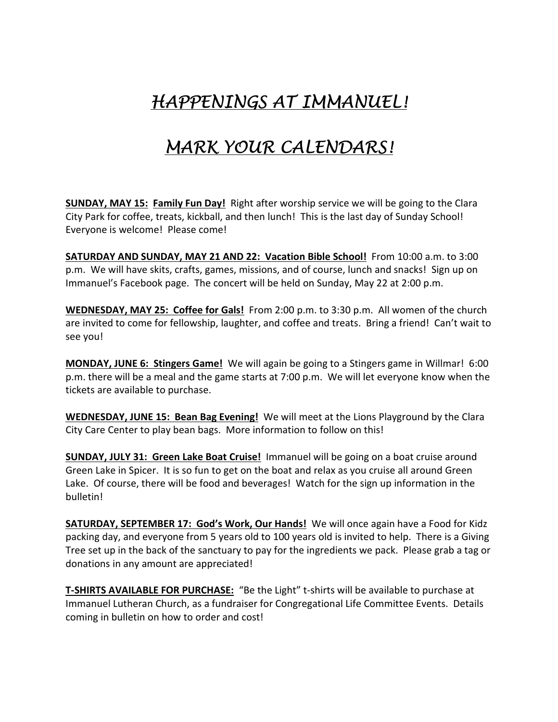# HAPPENINGS AT IMMANUEL!

## MARK YOUR CALENDARS!

**SUNDAY, MAY 15: Family Fun Day!** Right after worship service we will be going to the Clara City Park for coffee, treats, kickball, and then lunch! This is the last day of Sunday School! Everyone is welcome! Please come!

**SATURDAY AND SUNDAY, MAY 21 AND 22: Vacation Bible School!** From 10:00 a.m. to 3:00 p.m. We will have skits, crafts, games, missions, and of course, lunch and snacks! Sign up on Immanuel's Facebook page. The concert will be held on Sunday, May 22 at 2:00 p.m.

**WEDNESDAY, MAY 25: Coffee for Gals!** From 2:00 p.m. to 3:30 p.m. All women of the church are invited to come for fellowship, laughter, and coffee and treats. Bring a friend! Can't wait to see you!

**MONDAY, JUNE 6: Stingers Game!** We will again be going to a Stingers game in Willmar! 6:00 p.m. there will be a meal and the game starts at 7:00 p.m. We will let everyone know when the tickets are available to purchase.

**WEDNESDAY, JUNE 15: Bean Bag Evening!** We will meet at the Lions Playground by the Clara City Care Center to play bean bags. More information to follow on this!

**SUNDAY, JULY 31: Green Lake Boat Cruise!** Immanuel will be going on a boat cruise around Green Lake in Spicer. It is so fun to get on the boat and relax as you cruise all around Green Lake. Of course, there will be food and beverages! Watch for the sign up information in the bulletin!

**SATURDAY, SEPTEMBER 17: God's Work, Our Hands!** We will once again have a Food for Kidz packing day, and everyone from 5 years old to 100 years old is invited to help. There is a Giving Tree set up in the back of the sanctuary to pay for the ingredients we pack. Please grab a tag or donations in any amount are appreciated!

**T-SHIRTS AVAILABLE FOR PURCHASE:** "Be the Light" t-shirts will be available to purchase at Immanuel Lutheran Church, as a fundraiser for Congregational Life Committee Events. Details coming in bulletin on how to order and cost!